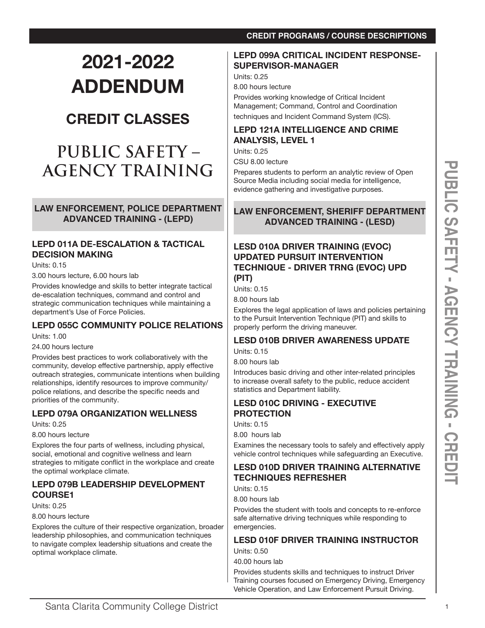# **2021-2022 ADDENDUM**

# **CREDIT CLASSES**

# **PUBLIC SAFETY – AGENCY TRAINING**

**LAW ENFORCEMENT, POLICE DEPARTMENT ADVANCED TRAINING - (LEPD)**

## **LEPD 011A DE-ESCALATION & TACTICAL DECISION MAKING**

Units: 0.15

3.00 hours lecture, 6.00 hours lab

Provides knowledge and skills to better integrate tactical de-escalation techniques, command and control and strategic communication techniques while maintaining a department's Use of Force Policies.

## **LEPD 055C COMMUNITY POLICE RELATIONS**

Units: 1.00

24.00 hours lecture

Provides best practices to work collaboratively with the community, develop effective partnership, apply effective outreach strategies, communicate intentions when building relationships, identify resources to improve community/ police relations, and describe the specific needs and priorities of the community.

## **LEPD 079A ORGANIZATION WELLNESS**

Units: 0.25

8.00 hours lecture

Explores the four parts of wellness, including physical, social, emotional and cognitive wellness and learn strategies to mitigate conflict in the workplace and create the optimal workplace climate.

## **LEPD 079B LEADERSHIP DEVELOPMENT COURSE1**

Units: 0.25

8.00 hours lecture

Explores the culture of their respective organization, broader leadership philosophies, and communication techniques to navigate complex leadership situations and create the optimal workplace climate.

## **CREDIT PROGRAMS / COURSE DESCRIPTIONS**

## **LEPD 099A CRITICAL INCIDENT RESPONSE-SUPERVISOR-MANAGER**

Units: 0.25

8.00 hours lecture

Provides working knowledge of Critical Incident Management; Command, Control and Coordination techniques and Incident Command System (ICS).

### **LEPD 121A INTELLIGENCE AND CRIME ANALYSIS, LEVEL 1**

Units: 0.25

CSU 8.00 lecture

Prepares students to perform an analytic review of Open Source Media including social media for intelligence, evidence gathering and investigative purposes.

## **LAW ENFORCEMENT, SHERIFF DEPARTMENT ADVANCED TRAINING - (LESD)**

## **LESD 010A DRIVER TRAINING (EVOC) UPDATED PURSUIT INTERVENTION TECHNIQUE - DRIVER TRNG (EVOC) UPD (PIT)**

Units: 0.15

8.00 hours lab

Explores the legal application of laws and policies pertaining to the Pursuit Intervention Technique (PIT) and skills to properly perform the driving maneuver.

#### **LESD 010B DRIVER AWARENESS UPDATE** Units: 0.15

8.00 hours lab

Introduces basic driving and other inter-related principles to increase overall safety to the public, reduce accident statistics and Department liability.

## **LESD 010C DRIVING - EXECUTIVE PROTECTION**

Units: 0.15

8.00 hours lab

Examines the necessary tools to safely and effectively apply vehicle control techniques while safeguarding an Executive.

## **LESD 010D DRIVER TRAINING ALTERNATIVE TECHNIQUES REFRESHER**

Units: 0.15

8.00 hours lab

Provides the student with tools and concepts to re-enforce safe alternative driving techniques while responding to emergencies.

#### **LESD 010F DRIVER TRAINING INSTRUCTOR** Units: 0.50

40.00 hours lab

Provides students skills and techniques to instruct Driver Training courses focused on Emergency Driving, Emergency Vehicle Operation, and Law Enforcement Pursuit Driving.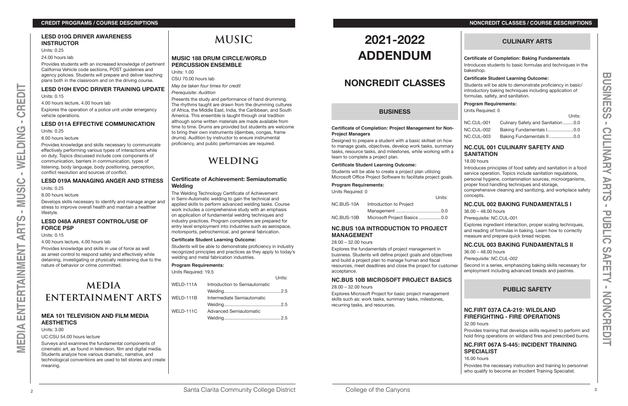24.00 hours lab

Provides students with an increased knowledge of pertinent California Vehicle code sections, POST guidelines and agency policies. Students will prepare and deliver teaching plans both in the classroom and on the driving course.

#### **LESD 010H EVOC DRIVER TRAINING UPDATE**

Units: 0.15

4.00 hours lecture, 4.00 hours lab

Develops skills necessary to identify and manage anger and stress to improve overall health and maintain a healthier lifestyle.

Explores the operation of a police unit under emergency vehicle operations.

## **LESD 011A EFFECTIVE COMMUNICATION**

Units: 0.25

8.00 hours lecture

Provides knowledge and skills necessary to communicate effectively performing various types of interactions while on duty. Topics discussed include core components of communication, barriers in communication, types of listening, body language, body positioning, perception, conflict resolution and sources of conflict.

#### **LESD 019A MANAGING ANGER AND STRESS**

Units: 0.25

8.00 hours lecture

### **LESD 048A ARREST CONTROL/USE OF FORCE PSP**

Units: 0.15

4.00 hours lecture, 4.00 hours lab

Provides knowledge and skills in use of force as well as arrest control to respond safely and effectively while detaining, investigating or physically restraining due to the nature of behavior or crime committed.

# **media entertainment arts**

### **MEA 101 TELEVISION AND FILM MEDIA AESTHETICS**

Units: 3.00

UC:CSU 54.00 hours lecture

Surveys and examines the fundamental components of cinematic art, as found in television, film and digital media. Students analyze how various dramatic, narrative, and technological conventions are used to tell stories and create meaning.

# **MUSIC**

## **MUSIC 188 DRUM CIRCLE/WORLD PERCUSSION ENSEMBLE**

Units: 1.00

CSU 70.00 hours lab *May be taken four times for credit*

#### *Prerequisite: Audition*

Presents the study and performance of hand drumming. The rhythms taught are drawn from the drumming cultures of Africa, the Middle East, India, the Caribbean, and South America. This ensemble is taught through oral tradition although some written materials are made available from time to time. Drums are provided but students are welcome to bring their own instruments (djembes, congas, frame drums). Audition by instructor to ensure instrumental proficiency, and public performances are required.

# **WELDING**

## **Certificate of Achievement: Semiautomatic Welding**

The Welding Technology Certificate of Achievement in Semi-Automatic welding to gain the technical and applied skills to perform advanced welding tasks. Course work includes a comprehensive study with an emphasis on application of fundamental welding techniques and industry practices. Program completers are prepared for entry level employment into industries such as aerospace, motorsports, petrochemical, and general fabrication.

#### **Certificate Student Learning Outcome:**

Students will be able to demonstrate proficiency in industry recognized principles and practices as they apply to today's welding and metal fabrication industries.

 $U = \frac{1}{2}$ 

#### **Program Requirements:**

Units Required: 19.5

|           |                               | 1111.5. |
|-----------|-------------------------------|---------|
| WELD-111A | Introduction to Semiautomatic |         |
|           |                               |         |
| WELD-111B | Intermediate Semiautomatic    |         |
|           |                               |         |
| WELD-111C | Advanced Semiautomatic        |         |
|           |                               |         |

# **2021-2022 ADDENDUM**

## **NONCREDIT CLASSES**

## **BUSINESS**

#### **Certificate of Completion: Project Management for Non-Project Managers**

Designed to prepare a student with a basic skillset on how to manage goals, objectives, develop work tasks, summary tasks, resource tasks, and milestones, while working with a team to complete a project plan.

#### **Certificate Student Learning Outcome:**

Students will be able to create a project plan utilizing Microsoft Office Project Software to facilitate project goals.

#### **Program Requirements:**

Units Required: 0

|            | Units:                       |
|------------|------------------------------|
| NC.BUS-10A | Introduction to Project      |
|            |                              |
| NC.BUS-10B | Microsoft Project Basics 0.0 |

### **NC.BUS 10A INTRODUCTION TO PROJECT MANAGEMENT**

28.00 – 32.00 hours

#### **NC.BUS 10B MICROSOFT PROJECT BASICS** 28.00 – 32.00 hours

Explores Microsoft Project for basic project management skills such as: work tasks, summary tasks, milestones, recurring tasks, and resources.

## **CULINARY ARTS**

### **Certificate of Completion: Baking Fundamentals**

Introduces students to basic formulas and techniques in the bakeshop.

#### **Certificate Student Learning Outcome:**

Students will be able to demonstrate proficiency in basic/ introductory baking techniques including application of formulas, safety, and sanitation.

#### **Program Requirements:**

Units Required: 0

Explores the fundamentals of project management in business. Students will define project goals and objectives and build a project plan to manage human and fiscal resources, meet deadlines and close the project for customer acceptance. 36.00 – 48.00 hours *Prerequisite: NC.CUL-002* Second in a series, emphasizing baking skills necessary for employment including advanced breads and pastries.

|            | Units:                            |
|------------|-----------------------------------|
| NC.CUL-001 | Culinary Safety and Sanitation0.0 |
| NC.CUL-002 | Baking Fundamentals I0.0          |
| NC.CUL-003 | Baking Fundamentals II0.0         |

## **NC.CUL 001 CULINARY SAFETY AND SANITATION**

18.00 hours

Introduces principles of food safety and sanitation in a food service operation. Topics include sanitation regulations, personal hygiene, contamination sources, microorganisms, proper food handling techniques and storage, comprehensive cleaning and sanitizing, and workplace safety concepts.

## **NC.CUL 002 BAKING FUNDAMENTALS I**

36.00 – 48.00 hours Prerequisite: NC.CUL-001

Explores ingredient interaction, proper scaling techniques, and reading of formulas in baking. Learn how to correctly measure and prepare quick bread recipes.

## **NC.CUL 003 BAKING FUNDAMENTALS II**

## **PUBLIC SAFETY**

## **NC.FIRT 037A CA-219: WILDLAND FIREFIGHTING - FIRE OPERATIONS**

32.00 hours

Provides training that develops skills required to perform and hold firing operations on wildland fires and prescribed burns.

## **NC.FIRT 067A S-445: INCIDENT TRAINING SPECIALIST**

16.00 hours

Provides the necessary instruction and training to personnel who qualify to become an Incident Training Specialist.